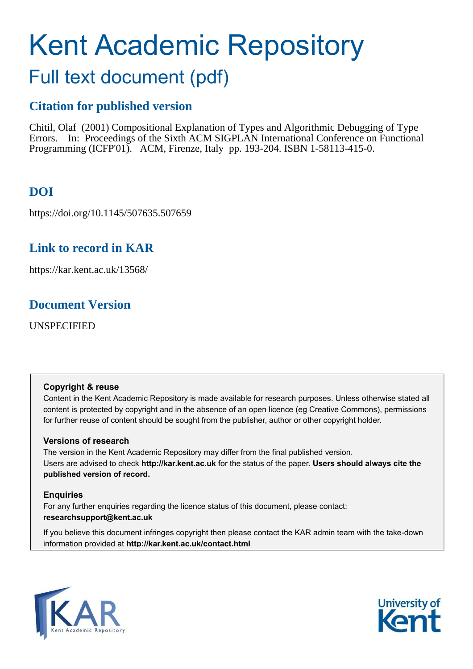# Kent Academic Repository

## Full text document (pdf)

## **Citation for published version**

Chitil, Olaf (2001) Compositional Explanation of Types and Algorithmic Debugging of Type Errors. In: Proceedings of the Sixth ACM SIGPLAN International Conference on Functional Programming (ICFP'01). ACM, Firenze, Italy pp. 193-204. ISBN 1-58113-415-0.

## **DOI**

https://doi.org/10.1145/507635.507659

## **Link to record in KAR**

https://kar.kent.ac.uk/13568/

### **Document Version**

UNSPECIFIED

#### **Copyright & reuse**

Content in the Kent Academic Repository is made available for research purposes. Unless otherwise stated all content is protected by copyright and in the absence of an open licence (eg Creative Commons), permissions for further reuse of content should be sought from the publisher, author or other copyright holder.

#### **Versions of research**

The version in the Kent Academic Repository may differ from the final published version. Users are advised to check **http://kar.kent.ac.uk** for the status of the paper. **Users should always cite the published version of record.**

#### **Enquiries**

For any further enquiries regarding the licence status of this document, please contact: **researchsupport@kent.ac.uk**

If you believe this document infringes copyright then please contact the KAR admin team with the take-down information provided at **http://kar.kent.ac.uk/contact.html**



<span id="page-0-1"></span><span id="page-0-0"></span>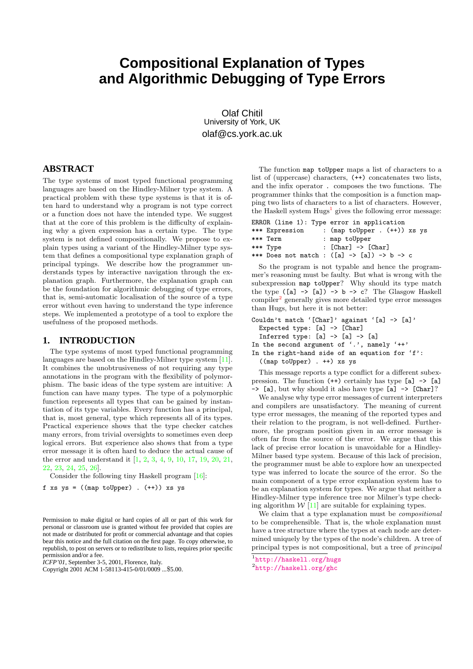## **Compositional Explanation of Types and Algorithmic Debugging of Type Errors**

Olaf Chitil University of York, UK olaf@cs.york.ac.uk

#### **ABSTRACT**

The type systems of most typed functional programming languages are based on the Hindley-Milner type system. A practical problem with these type systems is that it is often hard to understand why a program is not type correct or a function does not have the intended type. We suggest that at the core of this problem is the difficulty of explaining why a given expression has a certain type. The type system is not defined compositionally. We propose to explain types using a variant of the Hindley-Milner type system that defines a compositional type explanation graph of principal typings. We describe how the programmer understands types by interactive navigation through the explanation graph. Furthermore, the explanation graph can be the foundation for algorithmic debugging of type errors, that is, semi-automatic localisation of the source of a type error without even having to understand the type inference steps. We implemented a prototype of a tool to explore the usefulness of the proposed methods.

#### **1. INTRODUCTION**

<span id="page-1-0"></span>The type systems of most typed functional programming languages are based on the Hindley-Milner type system[[11\]](#page-11-0). It combines the unobtrusiveness of not requiring any type annotations in the program with the flexibility of polymorphism. The basic ideas of the type system are intuitive: A function can have many types. The type of a polymorphic function represents all types that can be gained by instantiation of its type variables. Every function has a principal, that is, most general, type which represents all of its types. Practical experience shows that the type checker catches many errors, from trivial oversights to sometimes even deep logical errors. But experience also shows that from a type error message it is often hard to deduce the actual cause of the error and understand it [\[1,](#page-11-1) [2](#page-11-2), [3](#page-11-3), [4,](#page-11-4) [9,](#page-11-5) [10,](#page-11-6) [17,](#page-11-7) [19,](#page-11-8) [20](#page-11-9), [21](#page-11-10), [22](#page-11-11), [23,](#page-11-12) [24,](#page-11-13) [25,](#page-11-14) [26](#page-11-15)].

Consider the following tiny Haskell program [\[16\]](#page-11-16):

f xs  $ys = ((map toUpper) . (+)) xs ys$ 

*ICFP'01,* September 3-5, 2001, Florence, Italy.

The function map toUpper maps a list of characters to a list of (uppercase) characters, (++) concatenates two lists, and the infix operator . composes the two functions. The programmer thinks that the composition is a function mapping two lists of characters to a list of characters. However, the Haskell system  $Hugs<sup>1</sup>$  $Hugs<sup>1</sup>$  $Hugs<sup>1</sup>$  gives the following error message:

| ERROR (line 1): Type error in application   |  |               |                               |                                        |  |
|---------------------------------------------|--|---------------|-------------------------------|----------------------------------------|--|
| *** Expression                              |  |               |                               | : $(\text{map toUpper } , (++))$ xs ys |  |
| *** Term                                    |  | : map toUpper |                               |                                        |  |
| *** Type                                    |  |               | $: [Char] \rightarrow [Char]$ |                                        |  |
| *** Does not match : ([a] -> [a]) -> b -> c |  |               |                               |                                        |  |
|                                             |  |               |                               |                                        |  |

So the program is not typable and hence the programmer's reasoning must be faulty. But what is wrong with the subexpression map toUpper? Why should its type match the type  $([a] \rightarrow [a]) \rightarrow b \rightarrow c?$  The Glasgow Haskell compiler<sup>[2](#page-0-1)</sup> generally gives more detailed type error messages than Hugs, but here it is not better:

```
Couldn't match '[Char]' against '[a] -> [a]'
  Expected type: [a] -> [Char]Inferred type: [a] \rightarrow [a] \rightarrow [a]In the second argument of '.', namely '++'
In the right-hand side of an equation for f:
  ((map toUpper) . ++) xs ys
```
This message reports a type conflict for a different subexpression. The function  $(++)$  certainly has type  $[a]$  ->  $[a]$  $\rightarrow$  [a], but why should it also have type [a]  $\rightarrow$  [Char]?

We analyse why type error messages of current interpreters and compilers are unsatisfactory. The meaning of current type error messages, the meaning of the reported types and their relation to the program, is not well-defined. Furthermore, the program position given in an error message is often far from the source of the error. We argue that this lack of precise error location is unavoidable for a Hindley-Milner based type system. Because of this lack of precision, the programmer must be able to explore how an unexpected type was inferred to locate the source of the error. So the main component of a type error explanation system has to be an explanation system for types. We argue that neither a Hindley-Milner type inference tree nor Milner's type checking algorithm  $W$  [[11\]](#page-11-0) are suitable for explaining types.

We claim that a type explanation must be *compositional* to be comprehensible. That is, the whole explanation must have a tree structure where the types at each node are determined uniquely by the types of the node's children. A tree of principal types is not compositional, but a tree of principal

Permission to make digital or hard copies of all or part of this work for personal or classroom use is granted without fee provided that copies are not made or distributed for profit or commercial advantage and that copies bear this notice and the full citation on the first page. To copy otherwise, to republish, to post on servers or to redistribute to lists, requires prior specific permission and/or a fee.

Copyright 2001 ACM 1-58113-415-0/01/0009 ...\$5.00.

<span id="page-1-1"></span><sup>1</sup> <http://haskell.org/hugs>

<sup>2</sup> <http://haskell.org/ghc>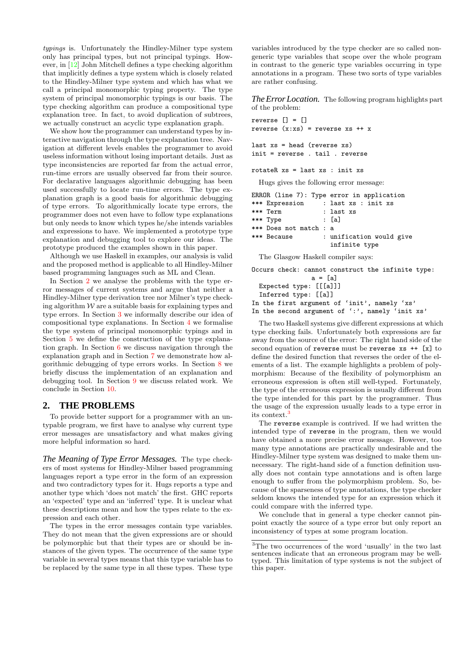typings is. Unfortunately the Hindley-Milner type system only has principal types, but not principal typings. However, in [\[12](#page-11-17)] John Mitchell defines a type checking algorithm that implicitly defines a type system which is closely related to the Hindley-Milner type system and which has what we call a principal monomorphic typing property. The type system of principal monomorphic typings is our basis. The type checking algorithm can produce a compositional type explanation tree. In fact, to avoid duplication of subtrees, we actually construct an acyclic type explanation graph.

We show how the programmer can understand types by interactive navigation through the type explanation tree. Navigation at different levels enables the programmer to avoid useless information without losing important details. Just as type inconsistencies are reported far from the actual error, run-time errors are usually observed far from their source. For declarative languages algorithmic debugging has been used successfully to locate run-time errors. The type explanation graph is a good basis for algorithmic debugging of type errors. To algorithmically locate type errors, the programmer does not even have to follow type explanations but only needs to know which types he/she intends variables and expressions to have. We implemented a prototype type explanation and debugging tool to explore our ideas. The prototype produced the examples shown in this paper.

Although we use Haskell in examples, our analysis is valid and the proposed method is applicable to all Hindley-Milner based programming languages such as ML and Clean.

In Section [2](#page-1-0) we analyse the problems with the type error messages of current systems and argue that neither a Hindley-Milner type derivation tree nor Milner's type checking algorithm  $W$  are a suitable basis for explaining types and type errors. In Section [3](#page-2-0) we informally describe our idea of compositional type explanations. In Section [4](#page-5-0) we formalise the type system of principal monomorphic typings and in Section [5](#page-7-0) we define the construction of the type explanation graph. In Section [6](#page-8-0) we discuss navigation through the explanation graph and in Section [7](#page-9-0) we demonstrate how algorithmic debugging of type errors works. In Section [8](#page-10-0) we briefly discuss the implementation of an explanation and debugging tool. In Section [9](#page-10-1) we discuss related work. We conclude in Section [10.](#page-10-2)

#### **2. THE PROBLEMS**

To provide better support for a programmer with an untypable program, we first have to analyse why current type error messages are unsatisfactory and what makes giving more helpful information so hard.

*The Meaning of Type Error Messages.* The type checkers of most systems for Hindley-Milner based programming languages report a type error in the form of an expression and two contradictory types for it. Hugs reports a type and another type which 'does not match' the first. GHC reports an 'expected' type and an 'inferred' type. It is unclear what these descriptions mean and how the types relate to the expression and each other.

The types in the error messages contain type variables. They do not mean that the given expressions are or should be polymorphic but that their types are or should be instances of the given types. The occurrence of the same type variable in several types means that this type variable has to be replaced by the same type in all these types. These type

<span id="page-2-0"></span>variables introduced by the type checker are so called nongeneric type variables that scope over the whole program in contrast to the generic type variables occurring in type annotations in a program. These two sorts of type variables are rather confusing.

*The Error Location.* The following program highlights part of the problem:

reverse [] = [] reverse  $(x:xs)$  = reverse xs ++ x last xs = head (reverse xs) init = reverse . tail . reverse rotateR xs = last xs : init xs Hugs gives the following error message: ERROR (line 7): Type error in application \*\*\* Expression : last xs : init xs \*\*\* Term : last xs \*\*\* Type : [a] \*\*\* Does not match : a \*\*\* Because : unification would give

infinite type

The Glasgow Haskell compiler says:

Occurs check: cannot construct the infinite type:

```
a = [a]Expected type: [[[a]]]
  Inferred type: [[a]]
In the first argument of 'init', namely 'xs'
In the second argument of ':', namely 'init xs'
```
The two Haskell systems give different expressions at which type checking fails. Unfortunately both expressions are far away from the source of the error: The right hand side of the second equation of reverse must be reverse xs ++ [x] to define the desired function that reverses the order of the elements of a list. The example highlights a problem of polymorphism: Because of the flexibility of polymorphism an erroneous expression is often still well-typed. Fortunately, the type of the erroneous expression is usually different from the type intended for this part by the programmer. Thus the usage of the expression usually leads to a type error in its context.<sup>[3](#page-1-1)</sup>

The reverse example is contrived. If we had written the intended type of reverse in the program, then we would have obtained a more precise error message. However, too many type annotations are practically undesirable and the Hindley-Milner type system was designed to make them unnecessary. The right-hand side of a function definition usually does not contain type annotations and is often large enough to suffer from the polymorphism problem. So, because of the sparseness of type annotations, the type checker seldom knows the intended type for an expression which it could compare with the inferred type.

We conclude that in general a type checker cannot pinpoint exactly the source of a type error but only report an inconsistency of types at some program location.

 $3$ The two occurrences of the word 'usually' in the two last sentences indicate that an erroneous program may be welltyped. This limitation of type systems is not the subject of this paper.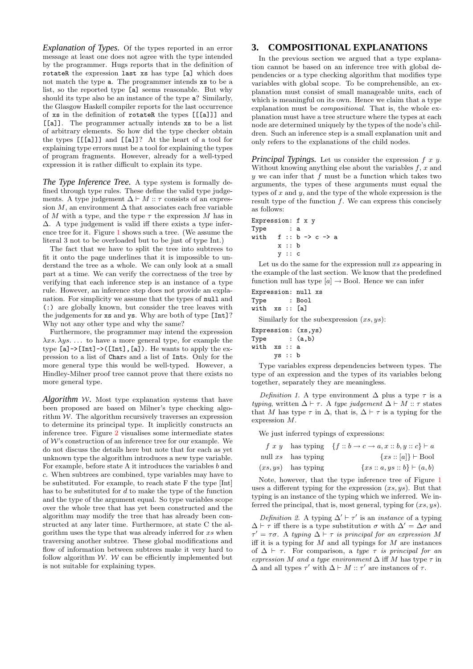*Explanation of Types.* Of the types reported in an error message at least one does not agree with the type intended by the programmer. Hugs reports that in the definition of rotateR the expression last xs has type [a] which does not match the type a. The programmer intends xs to be a list, so the reported type [a] seems reasonable. But why should its type also be an instance of the type a? Similarly, the Glasgow Haskell compiler reports for the last occurrence of xs in the definition of rotateR the types [[[a]]] and [[a]]. The programmer actually intends xs to be a list of arbitrary elements. So how did the type checker obtain the types [[[a]]] and [[a]]? At the heart of a tool for explaining type errors must be a tool for explaining the types of program fragments. However, already for a well-typed expression it is rather difficult to explain its type.

*The Type Inference Tree.* A type system is formally defined through type rules. These define the valid type judgements. A type judgement  $\Delta \vdash M :: \tau$  consists of an expression M, an environment  $\Delta$  that associates each free variable of M with a type, and the type  $\tau$  the expression M has in ∆. A type judgement is valid iff there exists a type inference tree for it. Figure [1](#page-3-0) shows such a tree. (We assume the literal 3 not to be overloaded but to be just of type Int.)

The fact that we have to split the tree into subtrees to fit it onto the page underlines that it is impossible to understand the tree as a whole. We can only look at a small part at a time. We can verify the correctness of the tree by verifying that each inference step is an instance of a type rule. However, an inference step does not provide an explanation. For simplicity we assume that the types of null and (:) are globally known, but consider the tree leaves with the judgements for xs and ys. Why are both of type [Int]? Why not any other type and why the same?

Furthermore, the programmer may intend the expression  $\lambda xs.\lambda ys.\ldots$  to have a more general type, for example the type  $[a]$ -> $[Int]$ -> $([Int], [a])$ . He wants to apply the expression to a list of Chars and a list of Ints. Only for the more general type this would be well-typed. However, a Hindley-Milner proof tree cannot prove that there exists no more general type.

*Algorithm* W*.* Most type explanation systems that have been proposed are based on Milner's type checking algorithm  $W$ . The algorithm recursively traverses an expression to determine its principal type. It implicitly constructs an inference tree. Figure [2](#page-3-1) visualises some intermediate states of  $W$ 's construction of an inference tree for our example. We do not discuss the details here but note that for each as yet unknown type the algorithm introduces a new type variable. For example, before state A it introduces the variables b and c. When subtrees are combined, type variables may have to be substituted. For example, to reach state F the type [Int] has to be substituted for  $d$  to make the type of the function and the type of the argument equal. So type variables scope over the whole tree that has yet been constructed and the algorithm may modify the tree that has already been constructed at any later time. Furthermore, at state C the algorithm uses the type that was already inferred for  $xs$  when traversing another subtree. These global modifications and flow of information between subtrees make it very hard to follow algorithm  $W$ . W can be efficiently implemented but is not suitable for explaining types.

#### **3. COMPOSITIONAL EXPLANATIONS**

In the previous section we argued that a type explanation cannot be based on an inference tree with global dependencies or a type checking algorithm that modifies type variables with global scope. To be comprehensible, an explanation must consist of small manageable units, each of which is meaningful on its own. Hence we claim that a type explanation must be compositional. That is, the whole explanation must have a tree structure where the types at each node are determined uniquely by the types of the node's children. Such an inference step is a small explanation unit and only refers to the explanations of the child nodes.

*Principal Typings.* Let us consider the expression f x y. Without knowing anything else about the variables  $f,\,x$  and  $y$  we can infer that  $f$  must be a function which takes two arguments, the types of these arguments must equal the types of  $x$  and  $y$ , and the type of the whole expression is the result type of the function  $f$ . We can express this concisely as follows:

|      |        | Expression: f x y |
|------|--------|-------------------|
| Type |        | : a               |
| with |        | f :: b -> c -> a  |
|      | x :: b |                   |
|      | v :: c |                   |

<span id="page-3-0"></span>Let us do the same for the expression null  $xs$  appearing in the example of the last section. We know that the predefined function null has type  $[a] \rightarrow$  Bool. Hence we can infer

Expression: null xs Type : Bool with xs :: [a] Similarly for the subexpression  $(xs, ys)$ :

|              |         | Expression: (xs,ys) |         |
|--------------|---------|---------------------|---------|
| Type         |         |                     | : (a,b) |
| with xs :: a |         |                     |         |
|              | ys :: b |                     |         |

Type variables express dependencies between types. The type of an expression and the types of its variables belong together, separately they are meaningless.

Definition 1. A type environment  $\Delta$  plus a type  $\tau$  is a typing, written  $\Delta \vdash \tau$ . A type judgement  $\Delta \vdash M :: \tau$  states that M has type  $\tau$  in  $\Delta$ , that is,  $\Delta \vdash \tau$  is a typing for the expression M.

We just inferred typings of expressions:

|                       | $f x y$ has typing $\{f : b \rightarrow c \rightarrow a, x : b, y : c\} \vdash a$ |
|-----------------------|-----------------------------------------------------------------------------------|
| null $xs$ has typing  | $\{xs :: [a]\}\vdash$ Bool                                                        |
| $(xs, ys)$ has typing | ${xs :: a, ys :: b} \vdash (a, b)$                                                |

Note, however, that the type inference tree of Figure [1](#page-3-0) uses a different typing for the expression  $(xs, ys)$ . But that typing is an instance of the typing which we inferred. We inferred the principal, that is, most general, typing for  $(xs, ys)$ .

<span id="page-3-1"></span>Definition 2. A typing  $\Delta' \vdash \tau'$  is an *instance* of a typing  $\Delta \vdash \tau$  iff there is a type substitution  $\sigma$  with  $\Delta' = \Delta \sigma$  and  $\tau' = \tau \sigma$ . A typing  $\Delta \vdash \tau$  is principal for an expression M iff it is a typing for  $M$  and all typings for  $M$  are instances of  $\Delta \vdash \tau$ . For comparison, a type  $\tau$  is principal for an expression M and a type environment  $\Delta$  iff M has type  $\tau$  in  $\Delta$  and all types  $\tau'$  with  $\Delta \vdash M :: \tau'$  are instances of  $\tau$ .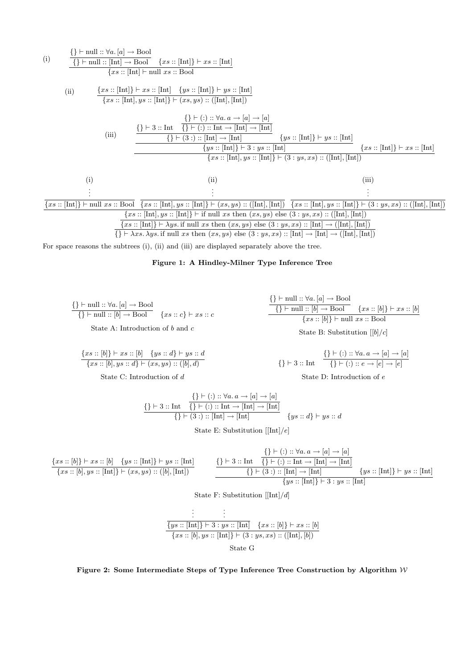(i)  
\n
$$
\frac{\{\}\vdash \text{null} :: [\text{Int}] \to \text{Bool}}{\{x \text{ s} :: [\text{Int}] \} \text{ - } x \text{ s} :: [\text{Int}]\} \text{ - } x \text{ s} :: [\text{Int}]\}
$$
\n(ii)  
\n
$$
\frac{\{xs : [\text{Int}] \} \vdash xs :: [\text{Int}] \{ys :: [\text{Int}]\} \vdash ys :: [\text{Int}]\}}{\{xs : [\text{Int}], ys :: [\text{Int}]\} \vdash (xs, ys) :: ([\text{Int}, [\text{Int}])}\]
$$
\n(iii)  
\n
$$
\frac{\{\} \vdash (\cdot) :: \forall a. a \to [a] \to [a]}{\{\} \vdash (\cdot) :: \text{Int} \to [\text{Int}]\} \to [\text{Int}]\}
$$
\n(iiii)  
\n
$$
\frac{\{\} \vdash (\cdot) :: \forall a. a \to [a] \to [a]}{\{\} \vdash (3) :: [\text{Int}] \to [\text{Int}]\} \quad \{ys :: [\text{Int}]\} \vdash ys :: [\text{Int}]\}
$$
\n
$$
\frac{\{xs : [\text{Int}]\} \vdash x s :: [\text{Int}]\}}{\{xs : [\text{Int}], ys :: [\text{Int}]\} \vdash (3 : y s, xs) :: ([\text{Int}], [\text{Int}])}\
$$
\n(i)  
\n
$$
\frac{\{xs : [\text{Int}], y s :: [\text{Int}], y s :: [\text{Int}]\} \vdash (x s, ys) :: ([\text{Int}], [\text{Int}])}{\{xs : [\text{Int}], y s :: [\text{Int}]\} \vdash (x s, ys) :: ([\text{Int}], [\text{Int}])}\}
$$
\n(iii)  
\n
$$
\frac{\{xs : [\text{Int}], y s :: [\text{Int}], y s :: [\text{Int}]\} \vdash (xs, ys) :: ([\text{Int}], [\text{Int}])}\
$$
\n
$$
\frac{\{xs : [\text{Int}], y s :: [\text{Int}]\} \vdash \text{if null x s then (xs, ys) else (3 : y s, xs) :: ([\text{Int}], [\text{Int}])}
$$
\n
$$
\frac{\{xs : [\text{Int}], y s :: [\text{Int}]\} \vdash \text{if null x s then (xs, ys) else (3 : y s, xs) :: ([\text{Int}], [\text{Int}])}{\{xs : [\text{Int}], [\text{Int}])}\}
$$

 $\{\}\vdash \lambda xs.\lambda ys.$  if null xs then  $(xs, ys)$  else  $(3: ys, xs)$  ::  $[Int] \rightarrow [Int] \rightarrow ([Int], [Int])$ 

For space reasons the subtrees (i), (ii) and (iii) are displayed separately above the tree.

#### Figure 1: A Hindley-Milner Type Inference Tree

|                                                                                      | $\{\}\vdash \text{null} :: \forall a. [a] \rightarrow \text{Bool}$                           |
|--------------------------------------------------------------------------------------|----------------------------------------------------------------------------------------------|
| $\{\}\vdash \text{null} :: \forall a. [a] \rightarrow \text{Bool}$                   | $\{ \} \vdash \text{null} :: [b] \rightarrow \text{Bool}$ $\{ xs :: [b] \} \vdash xs :: [b]$ |
| $\{\}\vdash \text{null} :: [b] \rightarrow \text{Bool}$ $\{xs :: c\} \vdash xs :: c$ | $\{xs::[b]\}\vdash \text{null } xs::\text{Bool}$                                             |
| State A: Introduction of b and $c$                                                   | State B: Substitution $[ b /c]$                                                              |

$$
\frac{\{xs :: [b]\} \vdash xs :: [b]}{\{xs :: [b], ys :: d\} \vdash (xs, ys) :: ([b], d)}
$$
\n
$$
\{\} \vdash 3 :: \text{Int} \quad \frac{\{\}}{3}
$$

State C: Introduction of d

$$
\{\} \vdash 3 :: \textbf{Int} \quad \frac{\{\} \vdash(:): : \forall a . \, a \rightarrow [a] \rightarrow [a]}{\{\} \vdash(:): :e \rightarrow [e] \rightarrow [e]}
$$

State D: Introduction of e

$$
\frac{\{\} \vdash (\mathbf{:}) :: \forall a. a \rightarrow [a] \rightarrow [a]}{\{\} \vdash (\mathbf{:}) :: \text{Int} \rightarrow [\text{Int}] \rightarrow [\text{Int}]}
$$
\n
$$
\{\} \vdash (3 :) :: [\text{Int}] \rightarrow [\text{Int}]
$$
\n
$$
\{ys :: d\} \vdash ys :: d
$$

State E: Substitution [[Int]/e]

$$
\frac{\{x s :: [b]\} \vdash xs :: [b] \quad \{ys :: [\text{Int}]\} \vdash ys :: [\text{Int}]}{\{xs :: [b], ys :: [\text{Int}]\} \vdash (xs, ys) :: ([b], [\text{Int}])}
$$
\n
$$
\frac{\{\} \vdash (:) :: \forall a. a \rightarrow [a] \rightarrow [a]}{\{\} \vdash (): :: \text{Int} \rightarrow [\text{Int}] \rightarrow [\text{Int}]} \quad \{ys :: [\text{Int}]\} \vdash ys :: [\text{Int}]\}
$$
\n
$$
\frac{\{\} \vdash (:) :: \forall a. a \rightarrow [a] \rightarrow [a]}{\{\} \vdash (): :: \text{Int} \rightarrow [\text{Int}] \rightarrow [\text{Int}]} \quad \{ys :: [\text{Int}]\} \vdash ys :: [\text{Int}]\}
$$

State F: Substitution [[Int]/d]

$$
\frac{\vdots}{\{ys :: [\text{Int}]\} \vdash 3 : ys :: [\text{Int}]} \{xs :: [b]\} \vdash xs :: [b]}\{xs :: [b], ys :: [\text{Int}]\} \vdash (3 : ys, xs) :: ([\text{Int}], [b])\text{State G}
$$

Figure 2: Some Intermediate Steps of Type Inference Tree Construction by Algorithm W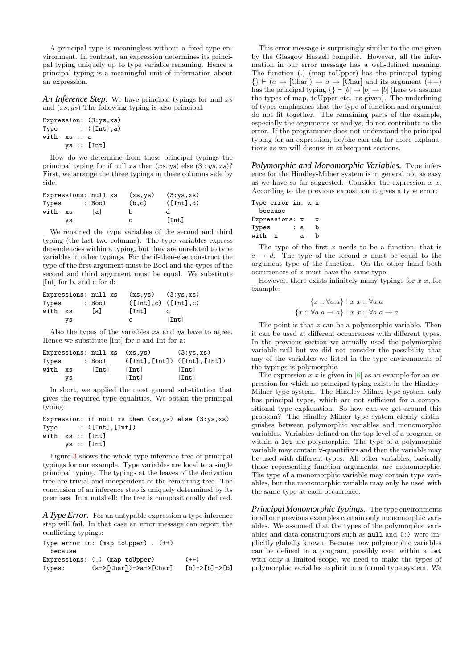A principal type is meaningless without a fixed type environment. In contrast, an expression determines its principal typing uniquely up to type variable renaming. Hence a principal typing is a meaningful unit of information about an expression.

An Inference Step. We have principal typings for null xs and (xs, ys) The following typing is also principal:

```
Expression: (3:ys,xs)
Type : ([Int],a)
with xs :: a
     ys :: [Int]
```
How do we determine from these principal typings the principal typing for if null xs then  $(xs, ys)$  else  $(3: ys, xs)$ ? First, we arrange the three typings in three columns side by side:

|       |    | Expressions: null xs | (xs,ys) | (3:ys,xs)                       |
|-------|----|----------------------|---------|---------------------------------|
| Types |    | : Bool               | (b, c)  | $(\lceil \text{Int} \rceil, d)$ |
| with  | XS | Ta 1                 | b       | d                               |
|       | ys |                      | C.      | [Int]                           |

We renamed the type variables of the second and third typing (the last two columns). The type variables express dependencies within a typing, but they are unrelated to type variables in other typings. For the if-then-else construct the type of the first argument must be Bool and the types of the second and third argument must be equal. We substitute [Int] for b, and c for d:

|         |    | Expressions: null xs |       | $(xs,ys)$ $(3:ys, xs)$ |
|---------|----|----------------------|-------|------------------------|
| Types   |    | : Bool               |       | ([Int], c) ([Int], c)  |
| with xs |    | Tal.                 | [Int] | C                      |
|         | vs |                      | C.    | [Int]                  |

Also the types of the variables xs and ys have to agree. Hence we substitute [Int] for c and Int for a:

<span id="page-5-0"></span>

|         |    | Expressions: $null xs (xs, ys)$ |                                   | (3:vs,xs) |
|---------|----|---------------------------------|-----------------------------------|-----------|
| Types   |    | : Bool                          | $([Int], [Int])$ $([Int], [Int])$ |           |
| with xs |    | [Int]                           | [Int]                             | [Int]     |
|         | ys |                                 | [Int]                             | [Int]     |

In short, we applied the most general substitution that gives the required type equalities. We obtain the principal typing:

```
Expression: if null xs then (xs,ys) else (3:ys,xs)Type : ([Int], [Int])
with xs :: [Int]
     ys :: [Int]
```
Figure [3](#page-5-1) shows the whole type inference tree of principal typings for our example. Type variables are local to a single principal typing. The typings at the leaves of the derivation tree are trivial and independent of the remaining tree. The conclusion of an inference step is uniquely determined by its premises. In a nutshell: the tree is compositionally defined.

*A Type Error.* For an untypable expression a type inference step will fail. In that case an error message can report the conflicting typings:

```
Type error in: (map toUpper) . (++)
  because
Expressions: (.) (map toUpper) (++)
Types: (a \rightarrow [Char]) \rightarrow a \rightarrow [Char] [b]->[b]->[b]
```
This error message is surprisingly similar to the one given by the Glasgow Haskell compiler. However, all the information in our error message has a well-defined meaning. The function (.) (map toUpper) has the principal typing  $\{\}\vdash (a \rightarrow [Char]) \rightarrow a \rightarrow [Char]$  and its argument  $(++)$ has the principal typing  $\{\}\vdash [b] \rightarrow [b] \rightarrow [b]$  (here we assume the types of map, toUpper etc. as given). The underlining of types emphasises that the type of function and argument do not fit together. The remaining parts of the example, especially the arguments xs and ys, do not contribute to the error. If the programmer does not understand the principal typing for an expression, he/she can ask for more explanations as we will discuss in subsequent sections.

*Polymorphic and Monomorphic Variables.* Type inference for the Hindley-Milner system is in general not as easy as we have so far suggested. Consider the expression  $x \, x$ . According to the previous exposition it gives a type error:

Type error in: x x because Expressions: x x Types : a b with **x** a b

<span id="page-5-1"></span>The type of the first  $x$  needs to be a function, that is  $c \rightarrow d$ . The type of the second x must be equal to the argument type of the function. On the other hand both occurrences of x must have the same type.

However, there exists infinitely many typings for  $x \, x$ , for example:

$$
\{x :: \forall a.a\} \vdash x x :: \forall a.a
$$

$$
\{x :: \forall a.a \rightarrow a\} \vdash x x :: \forall a.a \rightarrow a
$$

The point is that  $x$  can be a polymorphic variable. Then it can be used at different occurrences with different types. In the previous section we actually used the polymorphic variable null but we did not consider the possibility that any of the variables we listed in the type environments of the typings is polymorphic.

The expression  $x \, x$  is given in [\[6\]](#page-11-18) as an example for an expression for which no principal typing exists in the Hindley-Milner type system. The Hindley-Milner type system only has principal types, which are not sufficient for a compositional type explanation. So how can we get around this problem? The Hindley-Milner type system clearly distinguishes between polymorphic variables and monomorphic variables. Variables defined on the top-level of a program or within a let are polymorphic. The type of a polymorphic variable may contain ∀-quantifiers and then the variable may be used with different types. All other variables, basically those representing function arguments, are monomorphic. The type of a monomorphic variable may contain type variables, but the monomorphic variable may only be used with the same type at each occurrence.

*Principal Monomorphic Typings.* The type environments in all our previous examples contain only monomorphic variables. We assumed that the types of the polymorphic variables and data constructors such as null and (:) were implicitly globally known. Because new polymorphic variables can be defined in a program, possibly even within a let with only a limited scope, we need to make the types of polymorphic variables explicit in a formal type system. We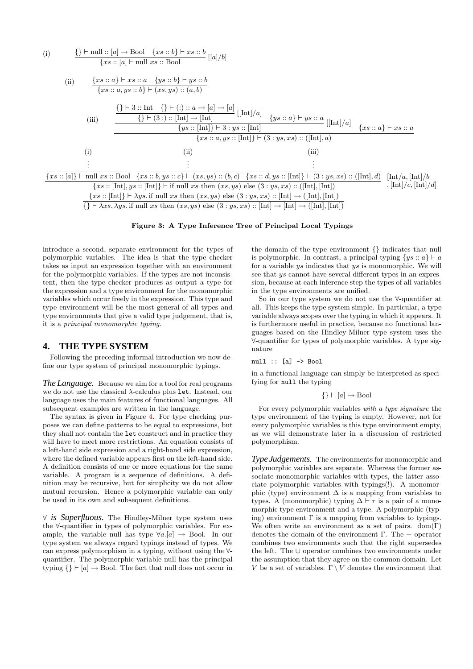(i) {} ⊢ null :: [a] → Bool {xs :: b} ⊢ xs :: b {xs :: [a] <sup>⊢</sup> null xs :: Bool [[a]/b] (ii) {xs :: a} ⊢ xs :: a {ys :: b} ⊢ ys :: b {xs :: a, ys :: b} ⊢ (xs, ys) :: (a, b) (iii) {} ⊢ 3 :: Int {} ⊢ (:) :: a → [a] → [a] {} ⊢ (3 :) :: [Int] <sup>→</sup> [Int] [[Int]/a] {ys :: a} ⊢ ys :: a {ys :: [Int]} ⊢ 3 : ys :: [Int] [[Int]/a] {xs :: a} ⊢ xs :: a {xs :: a, ys :: [Int]} ⊢ (3 : ys, xs) :: ([Int], a) (i) . . . {xs :: [a]} ⊢ null xs :: Bool (ii) . . . {xs :: b, ys :: c} ⊢ (xs, ys) :: (b, c) (iii) . . . {xs :: d, ys :: [Int]} ⊢ (3 : ys, xs) :: ([Int], d) {xs :: [Int], ys :: [Int]} ⊢ if null xs then (xs, ys) else (3 : ys, xs) :: ([Int], [Int]) {xs :: [Int]} ⊢ λys. if null xs then (xs, ys) else (3 : ys, xs) :: [Int] → ([Int], [Int]) {} ⊢ λxs. λys. if null xs then (xs, ys) else (3 : ys, xs) :: [Int] → [Int] → ([Int], [Int]) [Int/a, [Int]/b , [Int]/c, [Int]/d]

<span id="page-6-1"></span>Figure 3: A Type Inference Tree of Principal Local Typings

introduce a second, separate environment for the types of polymorphic variables. The idea is that the type checker takes as input an expression together with an environment for the polymorphic variables. If the types are not inconsistent, then the type checker produces as output a type for the expression and a type environment for the monomorphic variables which occur freely in the expression. This type and type environment will be the most general of all types and type environments that give a valid type judgement, that is, it is a principal monomorphic typing.

#### **4. THE TYPE SYSTEM**

Following the preceding informal introduction we now define our type system of principal monomorphic typings.

*The Language.* Because we aim for a tool for real programs we do not use the classical λ-calculus plus let. Instead, our language uses the main features of functional languages. All subsequent examples are written in the language.

The syntax is given in Figure [4.](#page-6-0) For type checking purposes we can define patterns to be equal to expressions, but they shall not contain the let construct and in practice they will have to meet more restrictions. An equation consists of a left-hand side expression and a right-hand side expression, where the defined variable appears first on the left-hand side. A definition consists of one or more equations for the same variable. A program is a sequence of definitions. A definition may be recursive, but for simplicity we do not allow mutual recursion. Hence a polymorphic variable can only be used in its own and subsequent definitions.

∀ *is Superfluous.* The Hindley-Milner type system uses the ∀-quantifier in types of polymorphic variables. For example, the variable null has type  $\forall a. [a] \rightarrow$  Bool. In our type system we always regard typings instead of types. We can express polymorphism in a typing, without using the ∀ quantifier. The polymorphic variable null has the principal typing  $\{\}\vdash[a]\rightarrow\text{Bool}$ . The fact that null does not occur in

<span id="page-6-0"></span>the domain of the type environment {} indicates that null is polymorphic. In contrast, a principal typing  $\{ys : a\} \vdash a$ for a variable ys indicates that ys is monomorphic. We will see that ys cannot have several different types in an expression, because at each inference step the types of all variables in the type environments are unified.

So in our type system we do not use the ∀-quantifier at all. This keeps the type system simple. In particular, a type variable always scopes over the typing in which it appears. It is furthermore useful in practice, because no functional languages based on the Hindley-Milner type system uses the ∀-quantifier for types of polymorphic variables. A type signature

$$
\texttt{null} :: [a] \rightarrow \texttt{Bool}
$$

in a functional language can simply be interpreted as specifying for null the typing

$$
\{\} \vdash [a] \to \text{Bool}
$$

<span id="page-6-2"></span>For every polymorphic variables with a type signature the type environment of the typing is empty. However, not for every polymorphic variables is this type environment empty, as we will demonstrate later in a discussion of restricted polymorphism.

<span id="page-6-4"></span><span id="page-6-3"></span>*Type Judgements.* The environments for monomorphic and polymorphic variables are separate. Whereas the former associate monomorphic variables with types, the latter associate polymorphic variables with typings(!). A monomorphic (type) environment  $\Delta$  is a mapping from variables to types. A (monomorphic) typing  $\Delta \vdash \tau$  is a pair of a monomorphic type environment and a type. A polymorphic (typing) environment  $\Gamma$  is a mapping from variables to typings. We often write an environment as a set of pairs.  $dom(\Gamma)$ denotes the domain of the environment  $\Gamma$ . The + operator combines two environments such that the right supersedes the left. The ∪ operator combines two environments under the assumption that they agree on the common domain. Let V be a set of variables.  $\Gamma \setminus V$  denotes the environment that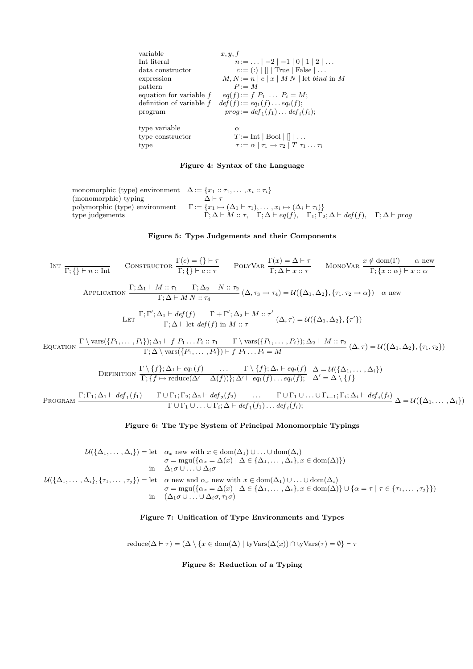| x, y, f                                                             |
|---------------------------------------------------------------------|
| $n := \ldots \mid -2 \mid -1 \mid 0 \mid 1 \mid 2 \mid \ldots$      |
| $c := (.) \mid   $ True   False                                     |
| $M, N := n   c   x   M N  $ let bind in M                           |
| $P = M$                                                             |
| $eq(f) := f P_1 \dots P_i = M;$                                     |
| $def(f) := eq_1(f) \dots eq_i(f);$                                  |
| $prog := def_1(f_1) \dots def_i(f_i);$                              |
| $\alpha$                                                            |
| $T := \text{Int}   \text{Bool}     \cdot   \ldots$                  |
| $\tau := \alpha \mid \tau_1 \to \tau_2 \mid T \tau_1 \ldots \tau_i$ |
|                                                                     |

#### Figure 4: Syntax of the Language

monomorphic (type) environment  $\Delta := \{x_1 :: \tau_1, \ldots, x_i :: \tau_i\}$ <br>(monomorphic) typing  $\Delta \vdash \tau$  $(monomorphic)$  typing<br>polymorphic (type) environment polymorphic (type) environment  $\Gamma := \{x_1 \mapsto (\Delta_1 \vdash \tau_1), \ldots, x_i \mapsto (\Delta_i \vdash \tau_i)\}\$ type judgements  $\Gamma; \Delta \vdash M :: \tau$ ,  $\Gamma; \Delta \vdash eq(f)$ ,  $\Gamma_1; \Gamma_2; \Delta \vdash def(f)$ ,  $\Gamma; \Delta \vdash prog$ 

#### Figure 5: Type Judgements and their Components

INT 
$$
\frac{\Gamma(c) = \{\} \mid \tau}{\Gamma; \{\} \mid e::\tau}
$$
  $\text{POLVVaR}$   $\frac{\Gamma(x) = \Delta \vdash \tau}{\Gamma; \Delta \vdash x::\tau}$   $\text{MONOVaR}$   $\frac{x \notin \text{dom}(\Gamma)}{\Gamma; \{x::\alpha\} \mid x::\alpha}$   
\n $\text{APPLICATION}$   $\frac{\Gamma; \Delta_1 \vdash M::\tau_1 \quad \Gamma; \Delta_2 \vdash N::\tau_2}{\Gamma; \Delta \vdash MN::\tau_4} (\Delta, \tau_3 \rightarrow \tau_4) = \mathcal{U}(\{\Delta_1, \Delta_2\}, \{\tau_1, \tau_2 \rightarrow \alpha\})$   $\alpha$  new  
\n $\text{LET}$   $\frac{\Gamma; \Gamma'; \Delta_1 \vdash \text{def}(f) \quad \Gamma + \Gamma'; \Delta_2 \vdash M::\tau'}{\Gamma; \Delta \vdash \text{def}(f) \text{ in } M::\tau}$   $(\Delta, \tau) = \mathcal{U}(\{\Delta_1, \Delta_2\}, \{\tau'\})$   
\n $\text{EQUATION}$   $\frac{\Gamma \setminus \text{vars}(\{P_1, \ldots, P_i\}); \Delta_1 \vdash f \cdot P_1 \ldots P_i :: \tau_1 \quad \Gamma \setminus \text{vars}(\{P_1, \ldots, P_i\}); \Delta_2 \vdash M::\tau'}{\Gamma; \Delta \setminus \text{vars}(\{P_1, \ldots, P_i\}) \vdash f \cdot P_1 \ldots P_i = M}$   
\n $\text{DEFINITION}$   $\frac{\Gamma \setminus \{f\}; \Delta_1 \vdash eq_1(f) \quad \ldots \quad \Gamma \setminus \{f\}; \Delta_i \vdash eq_i(f)}{\Gamma; \{f \mapsto \text{reduce}(\Delta' \vdash \Delta(f))\}; \Delta' \vdash eq_1(f) \ldots \cdot eq_i(f); \Delta' = \Delta \setminus \{f\}}$   
\n $\text{PROGRAM}$   $\frac{\Gamma; \Gamma_1; \Delta_1 \vdash \text{def}_1(f_1) \quad \Gamma \cup \Gamma_1; \Gamma_2; \Delta_2 \vdash \text{def}_2(f_2) \quad \ldots \quad \Gamma \cup \Gamma_1 \cup \ldots \cup \Gamma_{i-1}; \Gamma_i; \Delta_i \vdash$ 

#### Figure 6: The Type System of Principal Monomorphic Typings

$$
\mathcal{U}(\{\Delta_1,\ldots,\Delta_i\}) = \text{let} \quad \alpha_x \text{ new with } x \in \text{dom}(\Delta_1) \cup \ldots \cup \text{dom}(\Delta_i) \n\sigma = \text{mgu}(\{\alpha_x = \Delta(x) \mid \Delta \in \{\Delta_1,\ldots,\Delta_i\}, x \in \text{dom}(\Delta)\}) \n\text{in} \quad \Delta_1 \sigma \cup \ldots \cup \Delta_i \sigma \n\mathcal{U}(\{\Delta_1,\ldots,\Delta_i\},\{\tau_1,\ldots,\tau_j\}) = \text{let} \quad \alpha \text{ new and } \alpha_x \text{ new with } x \in \text{dom}(\Delta_1) \cup \ldots \cup \text{dom}(\Delta_i) \n\sigma = \text{mgu}(\{\alpha_x = \Delta(x) \mid \Delta \in \{\Delta_1,\ldots,\Delta_i\}, x \in \text{dom}(\Delta)\} \cup \{\alpha = \tau \mid \tau \in \{\tau_1,\ldots,\tau_j\}\}) \n\text{in} \quad (\Delta_1 \sigma \cup \ldots \cup \Delta_i \sigma, \tau_1 \sigma)
$$

#### Figure 7: Unification of Type Environments and Types

reduce( $\Delta \vdash \tau$ ) = ( $\Delta \setminus \{x \in \text{dom}(\Delta) \mid \text{tyVars}(\Delta(x)) \cap \text{tyVars}(\tau) = \emptyset\}$   $\vdash \tau$ 

#### <span id="page-7-0"></span>Figure 8: Reduction of a Typing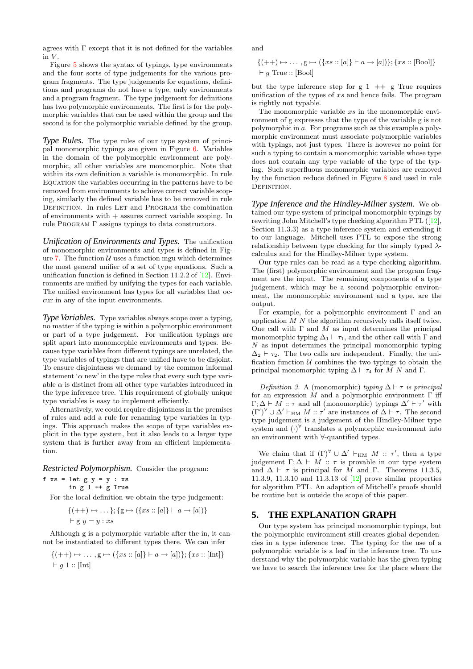agrees with Γ except that it is not defined for the variables in  $V$ .

Figure [5](#page-6-1) shows the syntax of typings, type environments and the four sorts of type judgements for the various program fragments. The type judgements for equations, definitions and programs do not have a type, only environments and a program fragment. The type judgement for definitions has two polymorphic environments. The first is for the polymorphic variables that can be used within the group and the second is for the polymorphic variable defined by the group.

*Type Rules.* The type rules of our type system of principal monomorphic typings are given in Figure [6](#page-6-2). Variables in the domain of the polymorphic environment are polymorphic, all other variables are monomorphic. Note that within its own definition a variable is monomorphic. In rule Equation the variables occurring in the patterns have to be removed from environments to achieve correct variable scoping, similarly the defined variable has to be removed in rule DEFINITION. In rules LET and PROGRAM the combination of environments with + assures correct variable scoping. In rule Program Γ assigns typings to data constructors.

*Unification of Environments and Types.* The unification of monomorphic environments and types is defined in Fig-ure [7.](#page-6-3) The function  $U$  uses a function mgu which determines the most general unifier of a set of type equations. Such a unification function is defined in Section 11.2.2 of [\[12](#page-11-17)]. Environments are unified by unifying the types for each variable. The unified environment has types for all variables that occur in any of the input environments.

*Type Variables.* Type variables always scope over a typing, no matter if the typing is within a polymorphic environment or part of a type judgement. For unification typings are split apart into monomorphic environments and types. Because type variables from different typings are unrelated, the type variables of typings that are unified have to be disjoint. To ensure disjointness we demand by the common informal statement ' $\alpha$  new' in the type rules that every such type variable  $\alpha$  is distinct from all other type variables introduced in the type inference tree. This requirement of globally unique type variables is easy to implement efficiently.

<span id="page-8-0"></span>Alternatively, we could require disjointness in the premises of rules and add a rule for renaming type variables in typings. This approach makes the scope of type variables explicit in the type system, but it also leads to a larger type system that is further away from an efficient implementation.

*Restricted Polymorphism.* Consider the program:

f  $xs = let g y = y : xs$ in  $g$  1 ++  $g$  True

For the local definition we obtain the type judgement:

$$
\{(++)\mapsto\ldots\}; \{g\mapsto (\{xs::[a]\}\vdash a\to [a])\} \vdash g y = y : xs
$$

Although g is a polymorphic variable after the in, it cannot be instantiated to different types there. We can infer

$$
\{(++)\mapsto \dots, g\mapsto (\{xs :: [a]\}\vdash a\to [a])\}; \{xs :: [Int]\}\
$$
  

$$
\vdash g\ 1 :: [Int]
$$

and

$$
\{(++)\mapsto\ldots,g\mapsto (\{xs::[a]\}\vdash a\to[a])\};\{xs::[Bool]\}\
$$
  

$$
\vdash g\text{ True}::[Bool]
$$

but the type inference step for  $g \; 1 \; ++ \; g$  True requires unification of the types of xs and hence fails. The program is rightly not typable.

The monomorphic variable xs in the monomorphic environment of g expresses that the type of the variable g is not polymorphic in a. For programs such as this example a polymorphic environment must associate polymorphic variables with typings, not just types. There is however no point for such a typing to contain a monomorphic variable whose type does not contain any type variable of the type of the typing. Such superfluous monomorphic variables are removed by the function reduce defined in Figure [8](#page-6-4) and used in rule DEFINITION.

*Type Inference and the Hindley-Milner system.* We obtained our type system of principal monomorphic typings by rewriting John Mitchell's type checking algorithm PTL ([[12\]](#page-11-17), Section 11.3.3) as a type inference system and extending it to our language. Mitchell uses PTL to expose the strong relationship between type checking for the simply typed  $\lambda$ calculus and for the Hindley-Milner type system.

Our type rules can be read as a type checking algorithm. The (first) polymorphic environment and the program fragment are the input. The remaining components of a type judgement, which may be a second polymorphic environment, the monomorphic environment and a type, are the output.

For example, for a polymorphic environment  $\Gamma$  and an application  $M N$  the algorithm recursively calls itself twice. One call with  $\Gamma$  and  $M$  as input determines the principal monomorphic typing  $\Delta_1 \vdash \tau_1$ , and the other call with  $\Gamma$  and  $N$  as input determines the principal monomorphic typing  $\Delta_2 \vdash \tau_2$ . The two calls are independent. Finally, the unification function  $U$  combines the two typings to obtain the principal monomorphic typing  $\Delta \vdash \tau_4$  for M N and  $\Gamma$ .

Definition 3. A (monomorphic) typing  $\Delta \vdash \tau$  is principal for an expression  $M$  and a polymorphic environment  $\Gamma$  iff  $\Gamma; \Delta \vdash M :: \tau$  and all (monomorphic) typings  $\Delta' \vdash \tau'$  with  $(\Gamma')^{\forall} \cup \Delta' \vdash_{HM} M :: \tau'$  are instances of  $\Delta \vdash \tau$ . The second type judgement is a judgement of the Hindley-Milner type system and  $(\cdot)^{\forall}$  translates a polymorphic environment into an environment with ∀-quantified types.

We claim that if  $(\Gamma)^{\forall} \cup \Delta' \vdash_{HM} M :: \tau'$ , then a type judgement  $\Gamma; \Delta \vdash M :: \tau$  is provable in our type system and  $\Delta \vdash \tau$  is principal for M and Γ. Theorems 11.3.5, 11.3.9, 11.3.10 and 11.3.13 of [\[12\]](#page-11-17) prove similar properties for algorithm PTL. An adaption of Mitchell's proofs should be routine but is outside the scope of this paper.

#### **5. THE EXPLANATION GRAPH**

Our type system has principal monomorphic typings, but the polymorphic environment still creates global dependencies in a type inference tree. The typing for the use of a polymorphic variable is a leaf in the inference tree. To understand why the polymorphic variable has the given typing we have to search the inference tree for the place where the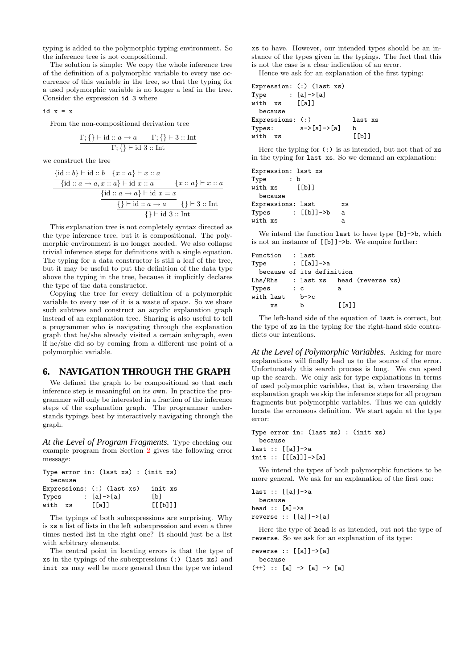typing is added to the polymorphic typing environment. So the inference tree is not compositional.

The solution is simple: We copy the whole inference tree of the definition of a polymorphic variable to every use occurrence of this variable in the tree, so that the typing for a used polymorphic variable is no longer a leaf in the tree. Consider the expression id 3 where

id  $x = x$ 

From the non-compositional derivation tree

$$
\frac{\Gamma; \{\} \vdash \mathrm{id} :: a \to a \qquad \Gamma; \{\} \vdash 3 :: \mathrm{Int} \ \Gamma; \{\} \vdash \mathrm{id} \ 3 :: \mathrm{Int} \ \Gamma \}
$$

we construct the tree

$$
\{id::b\} \vdash id::b \quad \{x::a\} \vdash x :: a
$$
\n
$$
\{id::a \rightarrow a, x :: a\} \vdash id x :: a \qquad \{x::a\} \vdash x :: a
$$
\n
$$
\{id::a \rightarrow a\} \vdash id x = x
$$
\n
$$
\{i\} \vdash id :: a \rightarrow a \qquad \{\} \vdash 3 :: \text{Int}
$$
\n
$$
\{\} \vdash id :: \text{Int}
$$

This explanation tree is not completely syntax directed as the type inference tree, but it is compositional. The polymorphic environment is no longer needed. We also collapse trivial inference steps for definitions with a single equation. The typing for a data constructor is still a leaf of the tree, but it may be useful to put the definition of the data type above the typing in the tree, because it implicitly declares the type of the data constructor.

Copying the tree for every definition of a polymorphic variable to every use of it is a waste of space. So we share such subtrees and construct an acyclic explanation graph instead of an explanation tree. Sharing is also useful to tell a programmer who is navigating through the explanation graph that he/she already visited a certain subgraph, even if he/she did so by coming from a different use point of a polymorphic variable.

#### **6. NAVIGATION THROUGH THE GRAPH**

We defined the graph to be compositional so that each inference step is meaningful on its own. In practice the programmer will only be interested in a fraction of the inference steps of the explanation graph. The programmer understands typings best by interactively navigating through the graph.

<span id="page-9-0"></span>*At the Level of Program Fragments.* Type checking our example program from Section [2](#page-1-0) gives the following error message:

|         |                              |                                 |                         |  | Type error in: (last xs) : (init xs) |  |
|---------|------------------------------|---------------------------------|-------------------------|--|--------------------------------------|--|
|         | because                      |                                 |                         |  |                                      |  |
|         | Expressions: $(:)$ (last xs) |                                 |                         |  | init xs                              |  |
| Types   |                              |                                 | : $[a] \rightarrow [a]$ |  | ſы                                   |  |
| with xs |                              | $\lceil \lceil a \rceil \rceil$ |                         |  | [[6]                                 |  |

The typings of both subexpressions are surprising. Why is xs a list of lists in the left subexpression and even a three times nested list in the right one? It should just be a list with arbitrary elements.

The central point in locating errors is that the type of xs in the typings of the subexpressions (:) (last xs) and init xs may well be more general than the type we intend

xs to have. However, our intended types should be an instance of the types given in the typings. The fact that this is not the case is a clear indication of an error.

Hence we ask for an explanation of the first typing:

```
Expression: (:) (last xs)
Type : [a]->[a]
with xs [[a]]
 because
Expressions: (:) last xs
Types: a->[a]->[a] b
with xs [[b]]
```
Here the typing for  $($ :  $)$  is as intended, but not that of xs in the typing for last xs. So we demand an explanation:

Expression: last xs Type : b with xs [[b]] because Expressions: last xs Types : [[b]]->b a with xs a

We intend the function last to have type  $[b]$ ->b, which is not an instance of [[b]]->b. We enquire further:

| Function : last                     |                     |            |       |  |  |  |
|-------------------------------------|---------------------|------------|-------|--|--|--|
| Type                                |                     | : [[a]]->a |       |  |  |  |
| because of its definition           |                     |            |       |  |  |  |
| Lhs/Rhs : last xs head (reverse xs) |                     |            |       |  |  |  |
| Types                               | $\cdot$ : $\cdot$ c |            | a     |  |  |  |
| with last                           |                     | b->c       |       |  |  |  |
| хs                                  |                     | h          | [[a]] |  |  |  |

The left-hand side of the equation of last is correct, but the type of xs in the typing for the right-hand side contradicts our intentions.

*At the Level of Polymorphic Variables.* Asking for more explanations will finally lead us to the source of the error. Unfortunately this search process is long. We can speed up the search. We only ask for type explanations in terms of used polymorphic variables, that is, when traversing the explanation graph we skip the inference steps for all program fragments but polymorphic variables. Thus we can quickly locate the erroneous definition. We start again at the type error:

```
Type error in: (last xs) : (init xs)
  because
last :: [[a]]->a
init :: [[[a]]]->[a]
```
We intend the types of both polymorphic functions to be more general. We ask for an explanation of the first one:

```
last :: [[a]]->a
  because
head :: [a]->a
reverse :: [[a]]->[a]
```
Here the type of head is as intended, but not the type of reverse. So we ask for an explanation of its type:

```
reverse :: [[a]]->[a]
  because
(++) :: [a] -> [a] -> [a]
```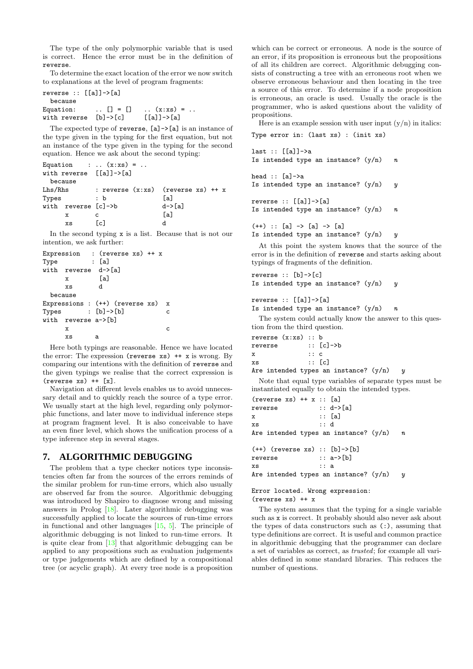The type of the only polymorphic variable that is used is correct. Hence the error must be in the definition of reverse.

To determine the exact location of the error we now switch to explanations at the level of program fragments:

| $reverse :: [fall->fall]$       |                              |                                                      |
|---------------------------------|------------------------------|------------------------------------------------------|
| because                         |                              |                                                      |
| Equation:                       | $\therefore$ $\Box$ = $\Box$ | $(x:xs) = $                                          |
| with reverse $[b]-\frac{1}{c}]$ |                              | $\lceil \lceil a \rceil \rceil$ -> $\lceil a \rceil$ |

The expected type of reverse,  $[a]$ -> $[a]$  is an instance of the type given in the typing for the first equation, but not an instance of the type given in the typing for the second equation. Hence we ask about the second typing:

```
Equation : .. (x:xs) =..
with reverse [[a]]->[a]
 because
Lhs/Rhs : reverse (x:xs) (reverse xs) ++ x
Types : b [a]
with reverse [c]->b d->[a]
    x c [a]xs [c] d
```
In the second typing x is a list. Because that is not our intention, we ask further:

```
Expression : (reverse xs) ++ x
Type : [a]
with reverse d->[a]
    x [a]
    xs d
 because
Expressions : (++) (reverse xs) x
Types : [b] \rightarrow [b] c
with reverse a->[b]
    x c
    xs a
```
Here both typings are reasonable. Hence we have located the error: The expression (reverse  $xs$ )  $++ x$  is wrong. By comparing our intentions with the definition of reverse and the given typings we realise that the correct expression is  $(reverse xs)$  ++  $[x]$ .

Navigation at different levels enables us to avoid unnecessary detail and to quickly reach the source of a type error. We usually start at the high level, regarding only polymorphic functions, and later move to individual inference steps at program fragment level. It is also conceivable to have an even finer level, which shows the unification process of a type inference step in several stages.

#### **7. ALGORITHMIC DEBUGGING**

The problem that a type checker notices type inconsistencies often far from the sources of the errors reminds of the similar problem for run-time errors, which also usually are observed far from the source. Algorithmic debugging was introduced by Shapiro to diagnose wrong and missing answers in Prolog[[18\]](#page-11-19). Later algorithmic debugging was successfully applied to locate the sources of run-time errors in functional and other languages[[15](#page-11-20), [5\]](#page-11-21). The principle of algorithmic debugging is not linked to run-time errors. It is quite clear from[[13\]](#page-11-22) that algorithmic debugging can be applied to any propositions such as evaluation judgements or type judgements which are defined by a compositional tree (or acyclic graph). At every tree node is a proposition

which can be correct or erroneous. A node is the source of an error, if its proposition is erroneous but the propositions of all its children are correct. Algorithmic debugging consists of constructing a tree with an erroneous root when we observe erroneous behaviour and then locating in the tree a source of this error. To determine if a node proposition is erroneous, an oracle is used. Usually the oracle is the programmer, who is asked questions about the validity of propositions.

Here is an example session with user input  $(y/n)$  in italics:

<span id="page-10-1"></span>Type error in: (last xs) : (init xs)

last :: [[a]]->a Is intended type an instance?  $(y/n)$  *n* 

head  $::$  [a]->a Is intended type an instance?  $(y/n)$  y

reverse :: [[a]]->[a] Is intended type an instance?  $(y/n)$  *n* 

 $(++)$  :: [a] -> [a] -> [a] Is intended type an instance?  $(y/n)$  y

At this point the system knows that the source of the error is in the definition of reverse and starts asking about typings of fragments of the definition.

```
reverse :: [b]->[c]
Is intended type an instance? (y/n) y
```
reverse :: [[a]]->[a]

```
Is intended type an instance? (y/n) n
```
The system could actually know the answer to this question from the third question.

| reverse (x:xs) :: b |     |                                |
|---------------------|-----|--------------------------------|
| reverse             |     | $: [c] \rightarrow b$          |
| х                   | : c |                                |
| xs                  |     | $\therefore$ $\lceil c \rceil$ |
|                     |     |                                |

Are intended types an instance?  $(y/n)$  y

Note that equal type variables of separate types must be instantiated equally to obtain the intended types.

```
(reverse xs) ++ x :: [a]
reverse :: d->[a]
x :: [a]
xs :: d
Are intended types an instance? (y/n) n
(++) (reverse xs) :: [b]->[b]
reverse :: a->[b]
xs :: a
Are intended types an instance? (y/n) y
```
Error located. Wrong expression:

(reverse xs) ++ x

<span id="page-10-2"></span>The system assumes that the typing for a single variable such as x is correct. It probably should also never ask about the types of data constructors such as (:), assuming that type definitions are correct. It is useful and common practice in algorithmic debugging that the programmer can declare a set of variables as correct, as trusted; for example all variables defined in some standard libraries. This reduces the number of questions.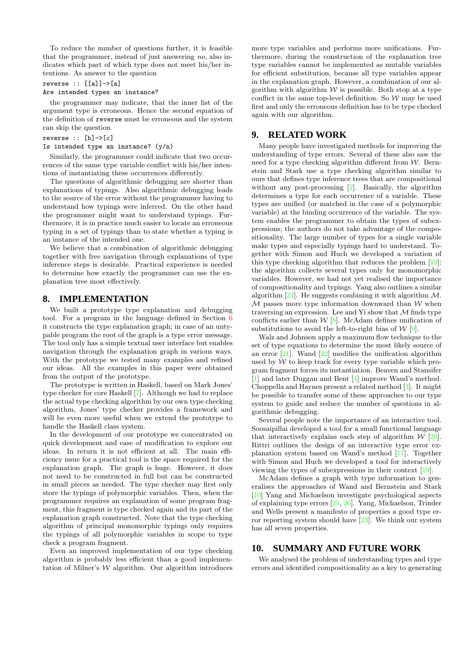To reduce the number of questions further, it is feasible that the programmer, instead of just answering no, also indicates which part of which type does not meet his/her intentions. As answer to the question

#### reverse :: [[a]]->[a]

#### Are intended types an instance?

the programmer may indicate, that the inner list of the argument type is erroneous. Hence the second equation of the definition of reverse must be erroneous and the system can skip the question

#### reverse :: [b]->[c]

#### Is intended type an instance?  $(y/n)$

Similarly, the programmer could indicate that two occurrences of the same type variable conflict with his/her intentions of instantiating these occurrences differently.

The questions of algorithmic debugging are shorter than explanations of typings. Also algorithmic debugging leads to the source of the error without the programmer having to understand how typings were inferred. On the other hand the programmer might want to understand typings. Furthermore, it is in practice much easier to locate an erroneous typing in a set of typings than to state whether a typing is an instance of the intended one.

We believe that a combination of algorithmic debugging together with free navigation through explanations of type inference steps is desirable. Practical experience is needed to determine how exactly the programmer can use the explanation tree most effectively.

#### **8. IMPLEMENTATION**

We built a prototype type explanation and debugging tool. For a program in the language defined in Section [6](#page-6-2) it constructs the type explanation graph; in case of an untypable program the root of the graph is a type error message. The tool only has a simple textual user interface but enables navigation through the explanation graph in various ways. With the prototype we tested many examples and refined our ideas. All the examples in this paper were obtained from the output of the prototype.

The prototype is written in Haskell, based on Mark Jones' type checker for core Haskell[[7\]](#page-11-23). Although we had to replace the actual type checking algorithm by our own type checking algorithm, Jones' type checker provides a framework and will be even more useful when we extend the prototype to handle the Haskell class system.

<span id="page-11-1"></span>In the development of our prototype we concentrated on quick development and ease of modification to explore our ideas. In return it is not efficient at all. The main efficiency issue for a practical tool is the space required for the explanation graph. The graph is huge. However, it does not need to be constructed in full but can be constructed in small pieces as needed. The type checker may first only store the typings of polymorphic variables. Then, when the programmer requires an explanation of some program fragment, this fragment is type checked again and its part of the explanation graph constructed. Note that the type checking algorithm of principal monomorphic typings only requires the typings of all polymorphic variables in scope to type check a program fragment.

<span id="page-11-21"></span><span id="page-11-4"></span><span id="page-11-3"></span><span id="page-11-2"></span>Even an improved implementation of our type checking algorithm is probably less efficient than a good implementation of Milner's  $W$  algorithm. Our algorithm introduces

<span id="page-11-24"></span><span id="page-11-23"></span><span id="page-11-18"></span>more type variables and performs more unifications. Furthermore, during the construction of the explanation tree type variables cannot be implemented as mutable variables for efficient substitution, because all type variables appear in the explanation graph. However, a combination of our algorithm with algorithm  $\mathcal W$  is possible. Both stop at a type conflict in the same top-level definition. So  $W$  may be used first and only the erroneous definition has to be type checked again with our algorithm.

#### <span id="page-11-6"></span><span id="page-11-5"></span>**9. RELATED WORK**

<span id="page-11-25"></span><span id="page-11-22"></span><span id="page-11-17"></span><span id="page-11-0"></span>Many people have investigated methods for improving the understanding of type errors. Several of these also saw the need for a type checking algorithm different from  $W$ . Bernstein and Stark use a type checking algorithm similar to ours that defines type inference trees that are compositional without any post-processing[[2](#page-11-2)]. Basically, the algorithm determines a type for each occurrence of a variable. These types are unified (or matched in the case of a polymorphic variable) at the binding occurrence of the variable. The system enables the programmer to obtain the types of subexpressions; the authors do not take advantage of the compositionality. The large number of types for a single variable make types and especially typings hard to understand. Together with Simon and Huch we developed a variation of this type checking algorithm that reduces the problem[[19\]](#page-11-8): the algorithm collects several types only for monomorphic variables. However, we had not yet realised the importance of compositionality and typings. Yang also outlines a similar algorithm $[24]$  $[24]$  $[24]$ . He suggests combining it with algorithm M.  $M$  passes more type information downward than  $W$  when traversing an expression. Lee and Yi show that  $M$  finds type conflicts earlier than  $W$  [\[8\]](#page-11-24). McAdam defines unification of substitutions to avoid the left-to-right bias of  $W$  [[9](#page-11-5)].

<span id="page-11-20"></span><span id="page-11-19"></span><span id="page-11-16"></span><span id="page-11-9"></span><span id="page-11-8"></span><span id="page-11-7"></span>Walz and Johnson apply a maximum flow technique to the set of type equations to determine the most likely source of anerror  $[21]$ . Wand  $[22]$  $[22]$  modifies the unification algorithm used by  ${\mathcal W}$  to keep track for every type variable which program fragment forces its instantiation. Beaven and Stansifer [\[1\]](#page-11-1) and later Duggan and Bent [\[4\]](#page-11-4) improve Wand's method. Choppella and Haynes present a related method [\[3\]](#page-11-3). It might be possible to transfer some of these approaches to our type system to guide and reduce the number of questions in algorithmic debugging.

<span id="page-11-12"></span><span id="page-11-11"></span><span id="page-11-10"></span>Several people note the importance of an interactive tool. Soosaipillai developed a tool for a small functional language that interactively explains each step of algorithm  $W$  [[20\]](#page-11-9). Rittri outlines the design of an interactive type error explanation system based on Wand's method[[17](#page-11-7)]. Together with Simon and Huch we developed a tool for interactively viewing the types of subexpressions in their context [\[19\]](#page-11-8).

<span id="page-11-14"></span><span id="page-11-13"></span>McAdam defines a graph with type information to generalises the approaches of Wand and Bernstein and Stark [\[10\]](#page-11-6) Yang and Michaelson investigate psychological aspects of explaining type errors [\[25](#page-11-14), [26\]](#page-11-15). Yang, Michaelson, Trinder and Wells present a manifesto of properties a good type error reporting system should have [\[23](#page-11-12)]. We think our system has all seven properties.

#### <span id="page-11-15"></span>**10. SUMMARY AND FUTURE WORK**

We analysed the problem of understanding types and type errors and identified compositionality as a key to generating